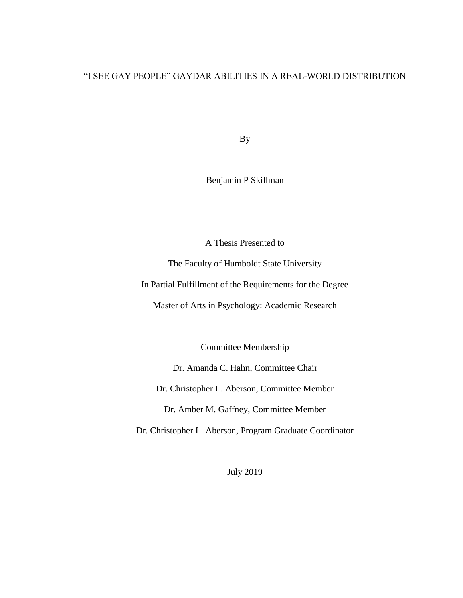# "I SEE GAY PEOPLE" GAYDAR ABILITIES IN A REAL-WORLD DISTRIBUTION

By

Benjamin P Skillman

A Thesis Presented to

The Faculty of Humboldt State University

In Partial Fulfillment of the Requirements for the Degree

Master of Arts in Psychology: Academic Research

Committee Membership

Dr. Amanda C. Hahn, Committee Chair

Dr. Christopher L. Aberson, Committee Member

Dr. Amber M. Gaffney, Committee Member

Dr. Christopher L. Aberson, Program Graduate Coordinator

July 2019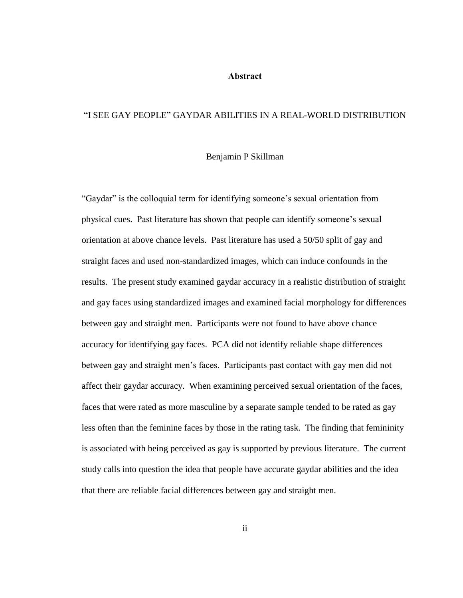#### **Abstract**

#### <span id="page-1-0"></span>"I SEE GAY PEOPLE" GAYDAR ABILITIES IN A REAL-WORLD DISTRIBUTION

#### Benjamin P Skillman

"Gaydar" is the colloquial term for identifying someone's sexual orientation from physical cues. Past literature has shown that people can identify someone's sexual orientation at above chance levels. Past literature has used a 50/50 split of gay and straight faces and used non-standardized images, which can induce confounds in the results. The present study examined gaydar accuracy in a realistic distribution of straight and gay faces using standardized images and examined facial morphology for differences between gay and straight men. Participants were not found to have above chance accuracy for identifying gay faces. PCA did not identify reliable shape differences between gay and straight men's faces. Participants past contact with gay men did not affect their gaydar accuracy. When examining perceived sexual orientation of the faces, faces that were rated as more masculine by a separate sample tended to be rated as gay less often than the feminine faces by those in the rating task. The finding that femininity is associated with being perceived as gay is supported by previous literature. The current study calls into question the idea that people have accurate gaydar abilities and the idea that there are reliable facial differences between gay and straight men.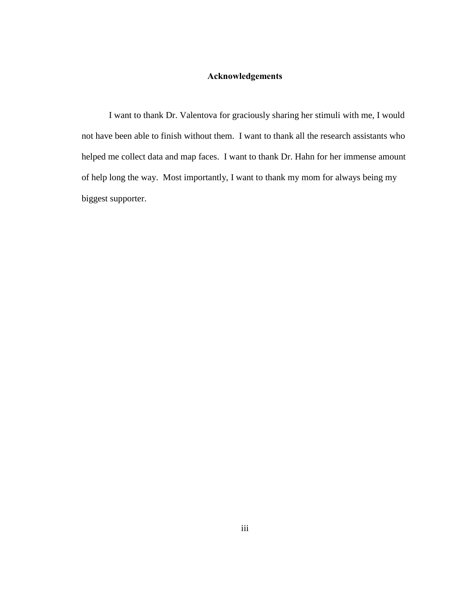# **Acknowledgements**

<span id="page-2-0"></span>I want to thank Dr. Valentova for graciously sharing her stimuli with me, I would not have been able to finish without them. I want to thank all the research assistants who helped me collect data and map faces. I want to thank Dr. Hahn for her immense amount of help long the way. Most importantly, I want to thank my mom for always being my biggest supporter.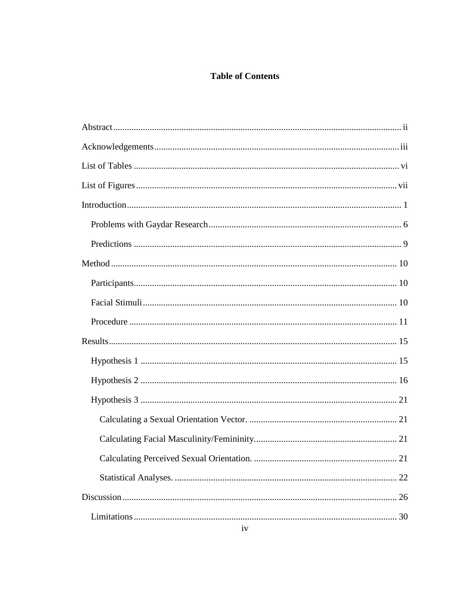# **Table of Contents**

| 22 |
|----|
|    |
|    |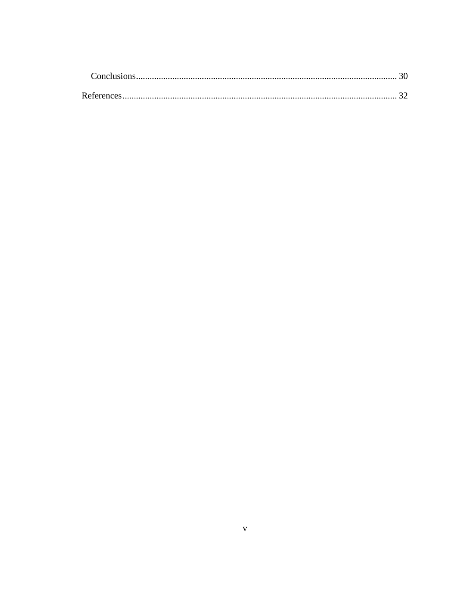| References |  |
|------------|--|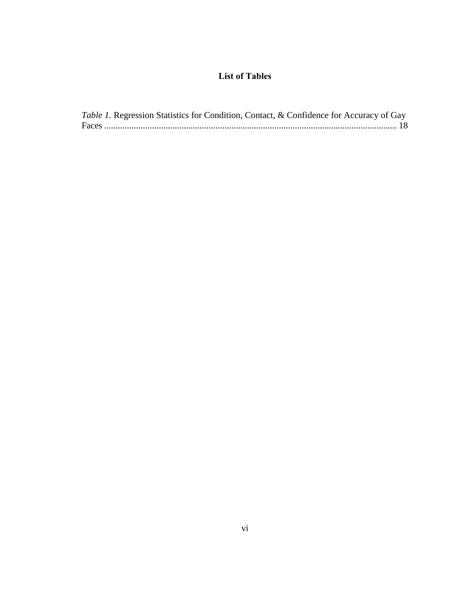# **List of Tables**

<span id="page-5-0"></span>

| Table 1. Regression Statistics for Condition, Contact, & Confidence for Accuracy of Gay |
|-----------------------------------------------------------------------------------------|
|                                                                                         |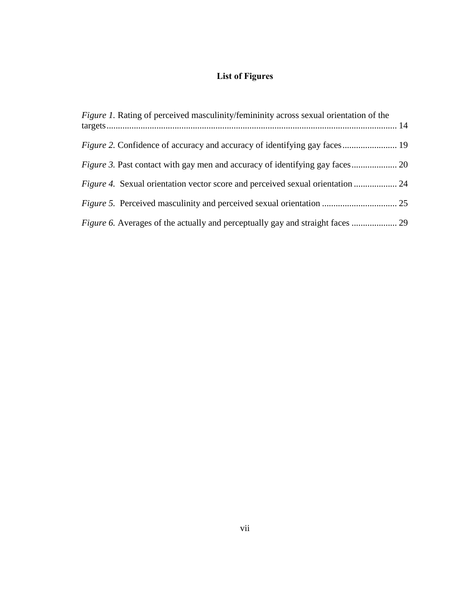# **List of Figures**

<span id="page-6-0"></span>

| <i>Figure 1.</i> Rating of perceived masculinity/femininity across sexual orientation of the |  |
|----------------------------------------------------------------------------------------------|--|
|                                                                                              |  |
|                                                                                              |  |
|                                                                                              |  |
|                                                                                              |  |
|                                                                                              |  |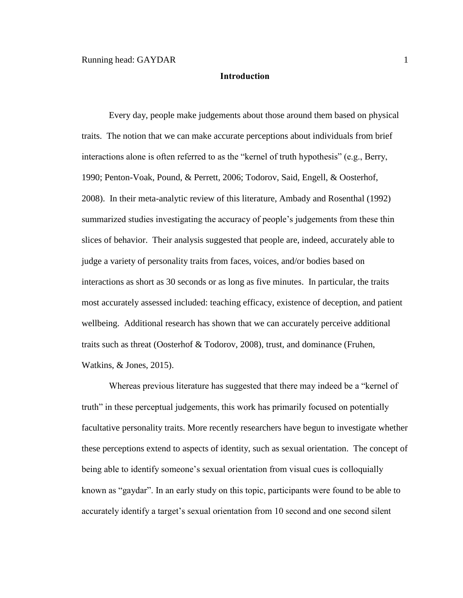#### **Introduction**

<span id="page-7-0"></span>Every day, people make judgements about those around them based on physical traits. The notion that we can make accurate perceptions about individuals from brief interactions alone is often referred to as the "kernel of truth hypothesis" (e.g., Berry, 1990; Penton-Voak, Pound, & Perrett, 2006; Todorov, Said, Engell, & Oosterhof, 2008). In their meta-analytic review of this literature, Ambady and Rosenthal (1992) summarized studies investigating the accuracy of people's judgements from these thin slices of behavior. Their analysis suggested that people are, indeed, accurately able to judge a variety of personality traits from faces, voices, and/or bodies based on interactions as short as 30 seconds or as long as five minutes. In particular, the traits most accurately assessed included: teaching efficacy, existence of deception, and patient wellbeing. Additional research has shown that we can accurately perceive additional traits such as threat (Oosterhof & Todorov, 2008), trust, and dominance (Fruhen, Watkins, & Jones, 2015).

Whereas previous literature has suggested that there may indeed be a "kernel of truth" in these perceptual judgements, this work has primarily focused on potentially facultative personality traits. More recently researchers have begun to investigate whether these perceptions extend to aspects of identity, such as sexual orientation. The concept of being able to identify someone's sexual orientation from visual cues is colloquially known as "gaydar". In an early study on this topic, participants were found to be able to accurately identify a target's sexual orientation from 10 second and one second silent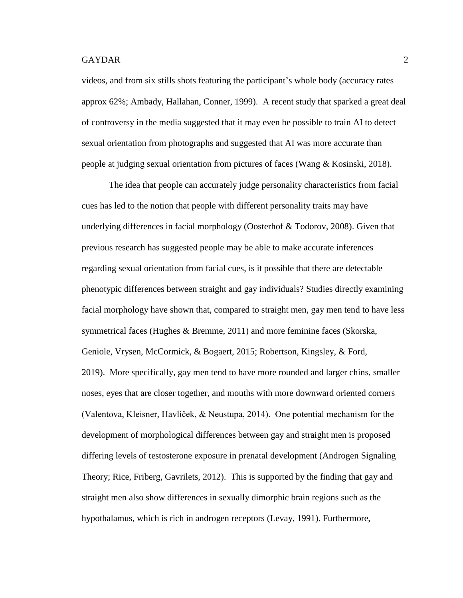videos, and from six stills shots featuring the participant's whole body (accuracy rates approx 62%; Ambady, Hallahan, Conner, 1999). A recent study that sparked a great deal of controversy in the media suggested that it may even be possible to train AI to detect sexual orientation from photographs and suggested that AI was more accurate than people at judging sexual orientation from pictures of faces (Wang & Kosinski, 2018).

The idea that people can accurately judge personality characteristics from facial cues has led to the notion that people with different personality traits may have underlying differences in facial morphology (Oosterhof & Todorov, 2008). Given that previous research has suggested people may be able to make accurate inferences regarding sexual orientation from facial cues, is it possible that there are detectable phenotypic differences between straight and gay individuals? Studies directly examining facial morphology have shown that, compared to straight men, gay men tend to have less symmetrical faces (Hughes & Bremme, 2011) and more feminine faces (Skorska, Geniole, Vrysen, McCormick, & Bogaert, 2015; Robertson, Kingsley, & Ford, 2019). More specifically, gay men tend to have more rounded and larger chins, smaller noses, eyes that are closer together, and mouths with more downward oriented corners (Valentova, Kleisner, Havlíček, & Neustupa, 2014). One potential mechanism for the development of morphological differences between gay and straight men is proposed differing levels of testosterone exposure in prenatal development (Androgen Signaling Theory; Rice, Friberg, Gavrilets, 2012). This is supported by the finding that gay and straight men also show differences in sexually dimorphic brain regions such as the hypothalamus, which is rich in androgen receptors (Levay, 1991). Furthermore,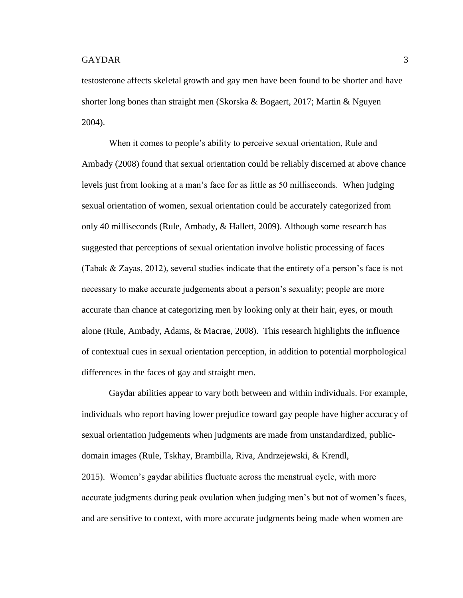testosterone affects skeletal growth and gay men have been found to be shorter and have shorter long bones than straight men (Skorska & Bogaert, 2017; Martin & Nguyen 2004).

When it comes to people's ability to perceive sexual orientation, Rule and Ambady (2008) found that sexual orientation could be reliably discerned at above chance levels just from looking at a man's face for as little as 50 milliseconds. When judging sexual orientation of women, sexual orientation could be accurately categorized from only 40 milliseconds (Rule, Ambady, & Hallett, 2009). Although some research has suggested that perceptions of sexual orientation involve holistic processing of faces (Tabak & Zayas, 2012), several studies indicate that the entirety of a person's face is not necessary to make accurate judgements about a person's sexuality; people are more accurate than chance at categorizing men by looking only at their hair, eyes, or mouth alone (Rule, Ambady, Adams, & Macrae, 2008). This research highlights the influence of contextual cues in sexual orientation perception, in addition to potential morphological differences in the faces of gay and straight men.

Gaydar abilities appear to vary both between and within individuals. For example, individuals who report having lower prejudice toward gay people have higher accuracy of sexual orientation judgements when judgments are made from unstandardized, publicdomain images (Rule, Tskhay, Brambilla, Riva, Andrzejewski, & Krendl, 2015). Women's gaydar abilities fluctuate across the menstrual cycle, with more accurate judgments during peak ovulation when judging men's but not of women's faces, and are sensitive to context, with more accurate judgments being made when women are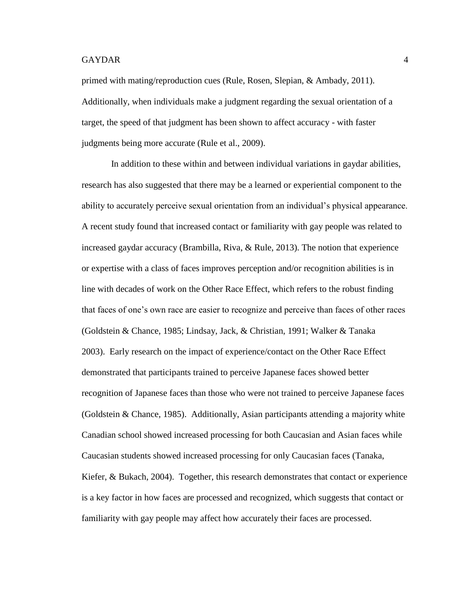primed with mating/reproduction cues (Rule, Rosen, Slepian, & Ambady, 2011). Additionally, when individuals make a judgment regarding the sexual orientation of a target, the speed of that judgment has been shown to affect accuracy - with faster judgments being more accurate (Rule et al., 2009).

In addition to these within and between individual variations in gaydar abilities, research has also suggested that there may be a learned or experiential component to the ability to accurately perceive sexual orientation from an individual's physical appearance. A recent study found that increased contact or familiarity with gay people was related to increased gaydar accuracy (Brambilla, Riva, & Rule, 2013). The notion that experience or expertise with a class of faces improves perception and/or recognition abilities is in line with decades of work on the Other Race Effect, which refers to the robust finding that faces of one's own race are easier to recognize and perceive than faces of other races (Goldstein & Chance, 1985; Lindsay, Jack, & Christian, 1991; Walker & Tanaka 2003). Early research on the impact of experience/contact on the Other Race Effect demonstrated that participants trained to perceive Japanese faces showed better recognition of Japanese faces than those who were not trained to perceive Japanese faces (Goldstein & Chance, 1985). Additionally, Asian participants attending a majority white Canadian school showed increased processing for both Caucasian and Asian faces while Caucasian students showed increased processing for only Caucasian faces (Tanaka, Kiefer, & Bukach, 2004). Together, this research demonstrates that contact or experience is a key factor in how faces are processed and recognized, which suggests that contact or familiarity with gay people may affect how accurately their faces are processed.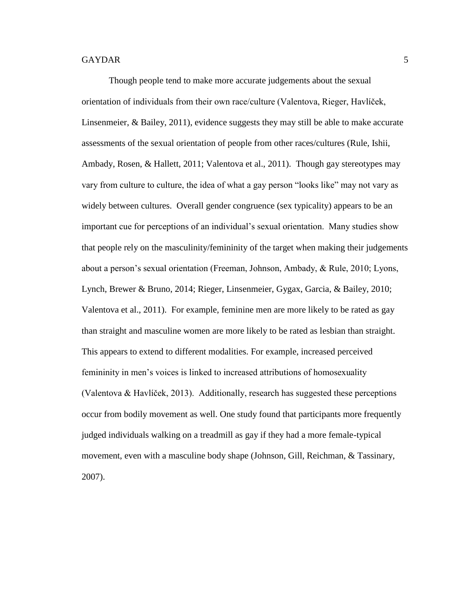Though people tend to make more accurate judgements about the sexual orientation of individuals from their own race/culture (Valentova, Rieger, Havlíček, Linsenmeier, & Bailey, 2011), evidence suggests they may still be able to make accurate assessments of the sexual orientation of people from other races/cultures (Rule, Ishii, Ambady, Rosen, & Hallett, 2011; Valentova et al., 2011). Though gay stereotypes may vary from culture to culture, the idea of what a gay person "looks like" may not vary as widely between cultures. Overall gender congruence (sex typicality) appears to be an important cue for perceptions of an individual's sexual orientation. Many studies show that people rely on the masculinity/femininity of the target when making their judgements about a person's sexual orientation (Freeman, Johnson, Ambady, & Rule, 2010; Lyons, Lynch, Brewer & Bruno, 2014; Rieger, Linsenmeier, Gygax, Garcia, & Bailey, 2010; Valentova et al., 2011). For example, feminine men are more likely to be rated as gay than straight and masculine women are more likely to be rated as lesbian than straight. This appears to extend to different modalities. For example, increased perceived femininity in men's voices is linked to increased attributions of homosexuality (Valentova & Havlíček, 2013). Additionally, research has suggested these perceptions occur from bodily movement as well. One study found that participants more frequently judged individuals walking on a treadmill as gay if they had a more female-typical movement, even with a masculine body shape (Johnson, Gill, Reichman, & Tassinary, 2007).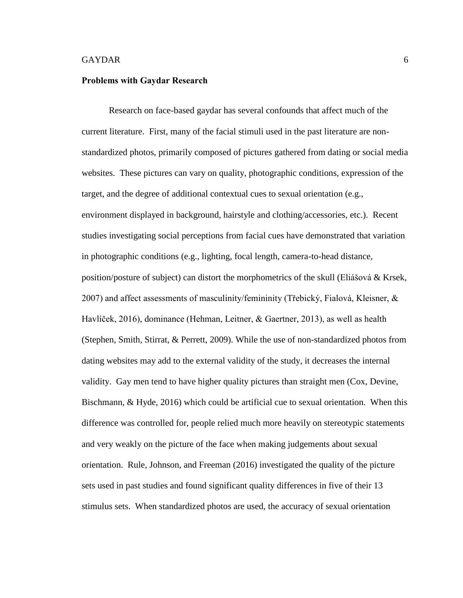#### <span id="page-12-0"></span>**Problems with Gaydar Research**

Research on face-based gaydar has several confounds that affect much of the current literature. First, many of the facial stimuli used in the past literature are nonstandardized photos, primarily composed of pictures gathered from dating or social media websites. These pictures can vary on quality, photographic conditions, expression of the target, and the degree of additional contextual cues to sexual orientation (e.g., environment displayed in background, hairstyle and clothing/accessories, etc.). Recent studies investigating social perceptions from facial cues have demonstrated that variation in photographic conditions (e.g., lighting, focal length, camera-to-head distance, position/posture of subject) can distort the morphometrics of the skull (Eliášová & Krsek, 2007) and affect assessments of masculinity/femininity (Třebický, Fialová, Kleisner,  $\&$ Havlíček, 2016), dominance (Hehman, Leitner, & Gaertner, 2013), as well as health (Stephen, Smith, Stirrat, & Perrett, 2009). While the use of non-standardized photos from dating websites may add to the external validity of the study, it decreases the internal validity. Gay men tend to have higher quality pictures than straight men (Cox, Devine, Bischmann, & Hyde, 2016) which could be artificial cue to sexual orientation. When this difference was controlled for, people relied much more heavily on stereotypic statements and very weakly on the picture of the face when making judgements about sexual orientation. Rule, Johnson, and Freeman (2016) investigated the quality of the picture sets used in past studies and found significant quality differences in five of their 13 stimulus sets. When standardized photos are used, the accuracy of sexual orientation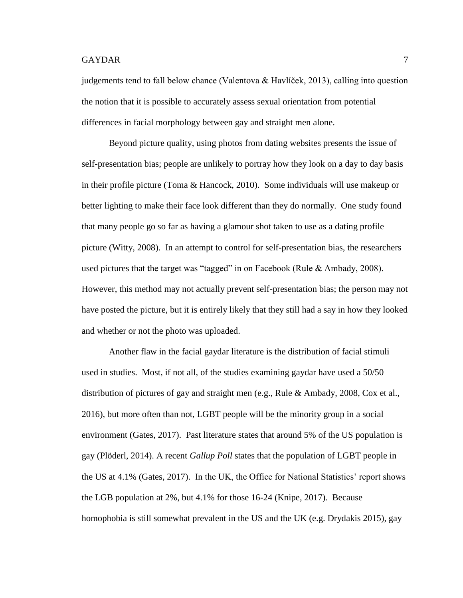judgements tend to fall below chance (Valentova & Havlíček, 2013), calling into question the notion that it is possible to accurately assess sexual orientation from potential differences in facial morphology between gay and straight men alone.

Beyond picture quality, using photos from dating websites presents the issue of self-presentation bias; people are unlikely to portray how they look on a day to day basis in their profile picture (Toma & Hancock, 2010). Some individuals will use makeup or better lighting to make their face look different than they do normally. One study found that many people go so far as having a glamour shot taken to use as a dating profile picture (Witty, 2008). In an attempt to control for self-presentation bias, the researchers used pictures that the target was "tagged" in on Facebook (Rule & Ambady, 2008). However, this method may not actually prevent self-presentation bias; the person may not have posted the picture, but it is entirely likely that they still had a say in how they looked and whether or not the photo was uploaded.

Another flaw in the facial gaydar literature is the distribution of facial stimuli used in studies. Most, if not all, of the studies examining gaydar have used a 50/50 distribution of pictures of gay and straight men (e.g., Rule & Ambady, 2008, Cox et al., 2016), but more often than not, LGBT people will be the minority group in a social environment (Gates, 2017). Past literature states that around 5% of the US population is gay (Plöderl, 2014). A recent *Gallup Poll* states that the population of LGBT people in the US at 4.1% (Gates, 2017). In the UK, the Office for National Statistics' report shows the LGB population at 2%, but 4.1% for those 16-24 (Knipe, 2017). Because homophobia is still somewhat prevalent in the US and the UK (e.g. Drydakis 2015), gay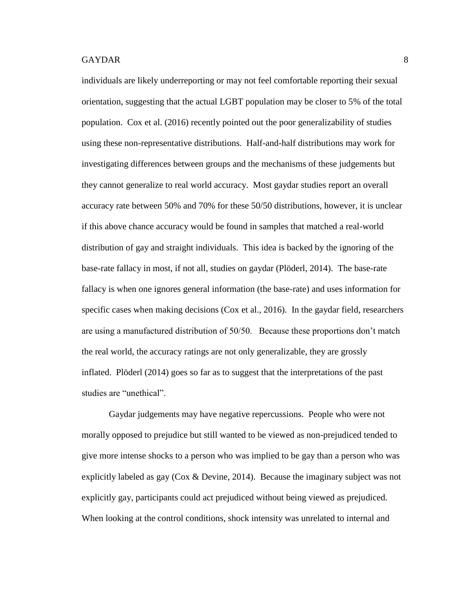individuals are likely underreporting or may not feel comfortable reporting their sexual orientation, suggesting that the actual LGBT population may be closer to 5% of the total population. Cox et al. (2016) recently pointed out the poor generalizability of studies using these non-representative distributions. Half-and-half distributions may work for investigating differences between groups and the mechanisms of these judgements but they cannot generalize to real world accuracy. Most gaydar studies report an overall accuracy rate between 50% and 70% for these 50/50 distributions, however, it is unclear if this above chance accuracy would be found in samples that matched a real-world distribution of gay and straight individuals. This idea is backed by the ignoring of the base-rate fallacy in most, if not all, studies on gaydar (Plöderl, 2014). The base-rate fallacy is when one ignores general information (the base-rate) and uses information for specific cases when making decisions (Cox et al., 2016). In the gaydar field, researchers are using a manufactured distribution of 50/50. Because these proportions don't match the real world, the accuracy ratings are not only generalizable, they are grossly inflated. Plöderl (2014) goes so far as to suggest that the interpretations of the past studies are "unethical".

Gaydar judgements may have negative repercussions. People who were not morally opposed to prejudice but still wanted to be viewed as non-prejudiced tended to give more intense shocks to a person who was implied to be gay than a person who was explicitly labeled as gay (Cox & Devine, 2014). Because the imaginary subject was not explicitly gay, participants could act prejudiced without being viewed as prejudiced. When looking at the control conditions, shock intensity was unrelated to internal and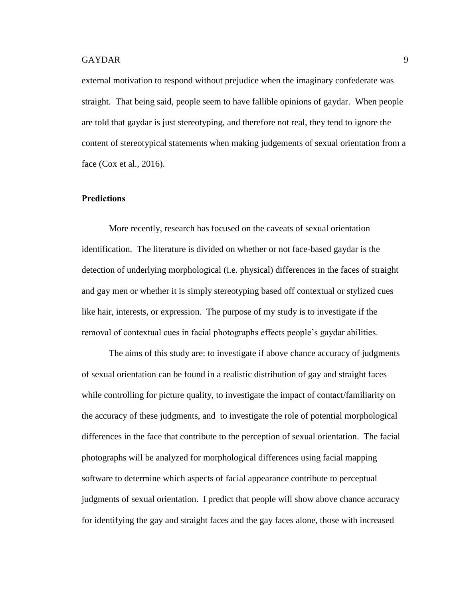external motivation to respond without prejudice when the imaginary confederate was straight. That being said, people seem to have fallible opinions of gaydar. When people are told that gaydar is just stereotyping, and therefore not real, they tend to ignore the content of stereotypical statements when making judgements of sexual orientation from a face (Cox et al., 2016).

#### <span id="page-15-0"></span>**Predictions**

More recently, research has focused on the caveats of sexual orientation identification. The literature is divided on whether or not face-based gaydar is the detection of underlying morphological (i.e. physical) differences in the faces of straight and gay men or whether it is simply stereotyping based off contextual or stylized cues like hair, interests, or expression. The purpose of my study is to investigate if the removal of contextual cues in facial photographs effects people's gaydar abilities.

The aims of this study are: to investigate if above chance accuracy of judgments of sexual orientation can be found in a realistic distribution of gay and straight faces while controlling for picture quality, to investigate the impact of contact/familiarity on the accuracy of these judgments, and to investigate the role of potential morphological differences in the face that contribute to the perception of sexual orientation. The facial photographs will be analyzed for morphological differences using facial mapping software to determine which aspects of facial appearance contribute to perceptual judgments of sexual orientation. I predict that people will show above chance accuracy for identifying the gay and straight faces and the gay faces alone, those with increased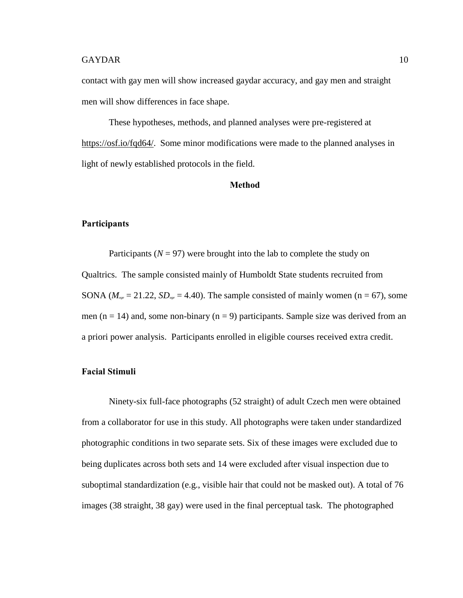contact with gay men will show increased gaydar accuracy, and gay men and straight men will show differences in face shape.

These hypotheses, methods, and planned analyses were pre-registered at [https://osf.io/fqd64/.](https://osf.io/fqd64/) Some minor modifications were made to the planned analyses in light of newly established protocols in the field.

#### **Method**

## <span id="page-16-1"></span><span id="page-16-0"></span>**Participants**

Participants ( $N = 97$ ) were brought into the lab to complete the study on Qualtrics. The sample consisted mainly of Humboldt State students recruited from SONA ( $M_{\text{ase}} = 21.22$ ,  $SD_{\text{age}} = 4.40$ ). The sample consisted of mainly women (n = 67), some men ( $n = 14$ ) and, some non-binary ( $n = 9$ ) participants. Sample size was derived from an a priori power analysis. Participants enrolled in eligible courses received extra credit.

# <span id="page-16-2"></span>**Facial Stimuli**

Ninety-six full-face photographs (52 straight) of adult Czech men were obtained from a collaborator for use in this study. All photographs were taken under standardized photographic conditions in two separate sets. Six of these images were excluded due to being duplicates across both sets and 14 were excluded after visual inspection due to suboptimal standardization (e.g., visible hair that could not be masked out). A total of 76 images (38 straight, 38 gay) were used in the final perceptual task. The photographed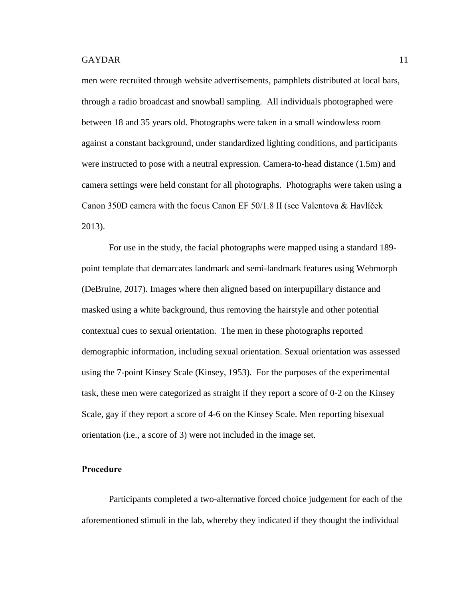men were recruited through website advertisements, pamphlets distributed at local bars, through a radio broadcast and snowball sampling. All individuals photographed were between 18 and 35 years old. Photographs were taken in a small windowless room against a constant background, under standardized lighting conditions, and participants were instructed to pose with a neutral expression. Camera-to-head distance (1.5m) and camera settings were held constant for all photographs. Photographs were taken using a Canon 350D camera with the focus Canon EF 50/1.8 II (see Valentova & Havlíček 2013).

For use in the study, the facial photographs were mapped using a standard 189 point template that demarcates landmark and semi-landmark features using Webmorph (DeBruine, 2017). Images where then aligned based on interpupillary distance and masked using a white background, thus removing the hairstyle and other potential contextual cues to sexual orientation. The men in these photographs reported demographic information, including sexual orientation. Sexual orientation was assessed using the 7-point Kinsey Scale (Kinsey, 1953). For the purposes of the experimental task, these men were categorized as straight if they report a score of 0-2 on the Kinsey Scale, gay if they report a score of 4-6 on the Kinsey Scale. Men reporting bisexual orientation (i.e., a score of 3) were not included in the image set.

## <span id="page-17-0"></span>**Procedure**

Participants completed a two-alternative forced choice judgement for each of the aforementioned stimuli in the lab, whereby they indicated if they thought the individual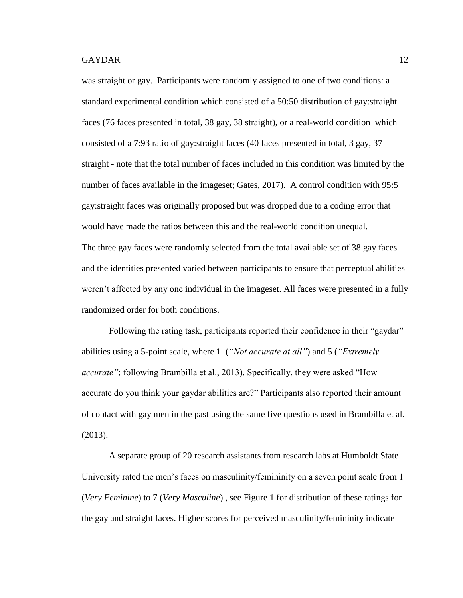was straight or gay. Participants were randomly assigned to one of two conditions: a standard experimental condition which consisted of a 50:50 distribution of gay:straight faces (76 faces presented in total, 38 gay, 38 straight), or a real-world condition which consisted of a 7:93 ratio of gay:straight faces (40 faces presented in total, 3 gay, 37 straight - note that the total number of faces included in this condition was limited by the number of faces available in the imageset; Gates, 2017). A control condition with 95:5 gay:straight faces was originally proposed but was dropped due to a coding error that would have made the ratios between this and the real-world condition unequal. The three gay faces were randomly selected from the total available set of 38 gay faces and the identities presented varied between participants to ensure that perceptual abilities weren't affected by any one individual in the imageset. All faces were presented in a fully randomized order for both conditions.

Following the rating task, participants reported their confidence in their "gaydar" abilities using a 5-point scale, where 1 (*"Not accurate at all"*) and 5 (*"Extremely accurate"*; following Brambilla et al., 2013). Specifically, they were asked "How accurate do you think your gaydar abilities are?" Participants also reported their amount of contact with gay men in the past using the same five questions used in Brambilla et al. (2013).

A separate group of 20 research assistants from research labs at Humboldt State University rated the men's faces on masculinity/femininity on a seven point scale from 1 (*Very Feminine*) to 7 (*Very Masculine*) , see Figure 1 for distribution of these ratings for the gay and straight faces. Higher scores for perceived masculinity/femininity indicate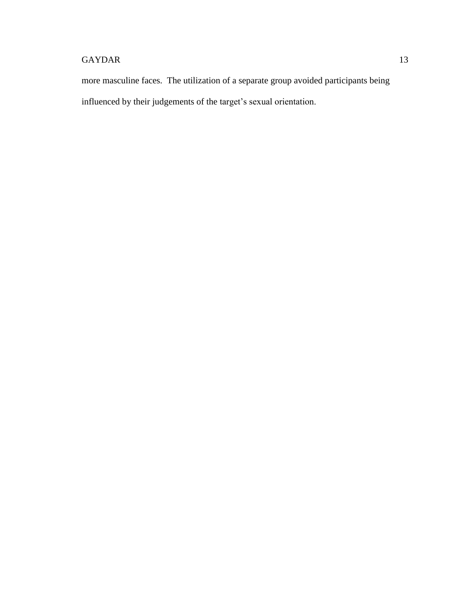more masculine faces. The utilization of a separate group avoided participants being influenced by their judgements of the target's sexual orientation.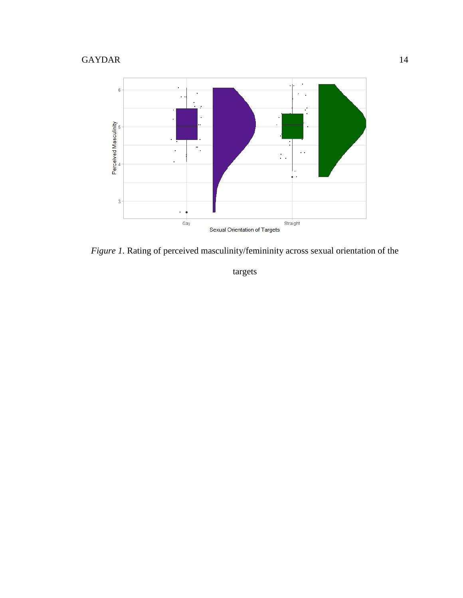

*Figure 1.* Rating of perceived masculinity/femininity across sexual orientation of the

targets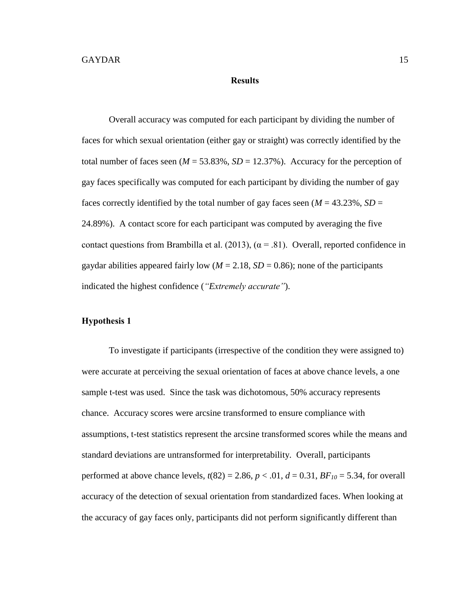#### **Results**

<span id="page-21-0"></span>Overall accuracy was computed for each participant by dividing the number of faces for which sexual orientation (either gay or straight) was correctly identified by the total number of faces seen ( $M = 53.83\%$ ,  $SD = 12.37\%$ ). Accuracy for the perception of gay faces specifically was computed for each participant by dividing the number of gay faces correctly identified by the total number of gay faces seen ( $M = 43.23\%$ ,  $SD =$ 24.89%). A contact score for each participant was computed by averaging the five contact questions from Brambilla et al. (2013),  $(\alpha = .81)$ . Overall, reported confidence in gaydar abilities appeared fairly low ( $M = 2.18$ ,  $SD = 0.86$ ); none of the participants indicated the highest confidence (*"Extremely accurate"*).

## <span id="page-21-1"></span>**Hypothesis 1**

To investigate if participants (irrespective of the condition they were assigned to) were accurate at perceiving the sexual orientation of faces at above chance levels, a one sample t-test was used. Since the task was dichotomous, 50% accuracy represents chance. Accuracy scores were arcsine transformed to ensure compliance with assumptions, t-test statistics represent the arcsine transformed scores while the means and standard deviations are untransformed for interpretability. Overall, participants performed at above chance levels,  $t(82) = 2.86$ ,  $p < .01$ ,  $d = 0.31$ ,  $BF<sub>10</sub> = 5.34$ , for overall accuracy of the detection of sexual orientation from standardized faces. When looking at the accuracy of gay faces only, participants did not perform significantly different than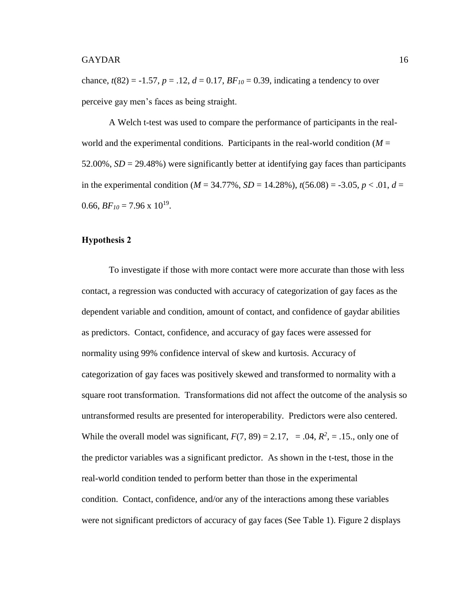chance,  $t(82) = -1.57$ ,  $p = .12$ ,  $d = 0.17$ ,  $BF_{10} = 0.39$ , indicating a tendency to over perceive gay men's faces as being straight.

A Welch t-test was used to compare the performance of participants in the realworld and the experimental conditions. Participants in the real-world condition  $(M =$ 52.00%, *SD* = 29.48%) were significantly better at identifying gay faces than participants in the experimental condition ( $M = 34.77\%$ ,  $SD = 14.28\%$ ),  $t(56.08) = -3.05$ ,  $p < .01$ ,  $d =$ 0.66,  $BF_{10} = 7.96 \times 10^{19}$ .

### <span id="page-22-0"></span>**Hypothesis 2**

To investigate if those with more contact were more accurate than those with less contact, a regression was conducted with accuracy of categorization of gay faces as the dependent variable and condition, amount of contact, and confidence of gaydar abilities as predictors. Contact, confidence, and accuracy of gay faces were assessed for normality using 99% confidence interval of skew and kurtosis. Accuracy of categorization of gay faces was positively skewed and transformed to normality with a square root transformation. Transformations did not affect the outcome of the analysis so untransformed results are presented for interoperability. Predictors were also centered. While the overall model was significant,  $F(7, 89) = 2.17$ , = .04,  $R^2$ , = .15., only one of the predictor variables was a significant predictor. As shown in the t-test, those in the real-world condition tended to perform better than those in the experimental condition. Contact, confidence, and/or any of the interactions among these variables were not significant predictors of accuracy of gay faces (See Table 1). Figure 2 displays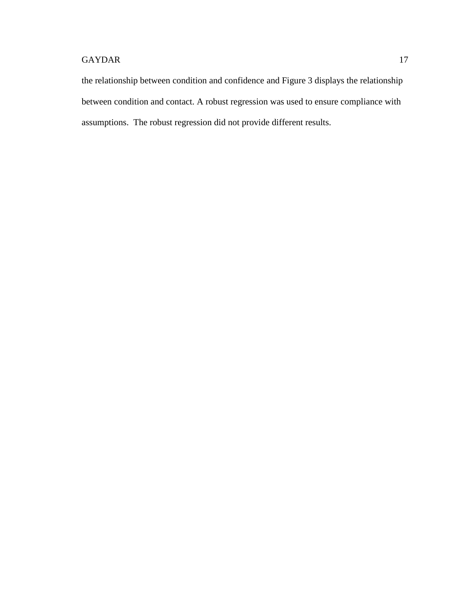the relationship between condition and confidence and Figure 3 displays the relationship between condition and contact. A robust regression was used to ensure compliance with assumptions. The robust regression did not provide different results.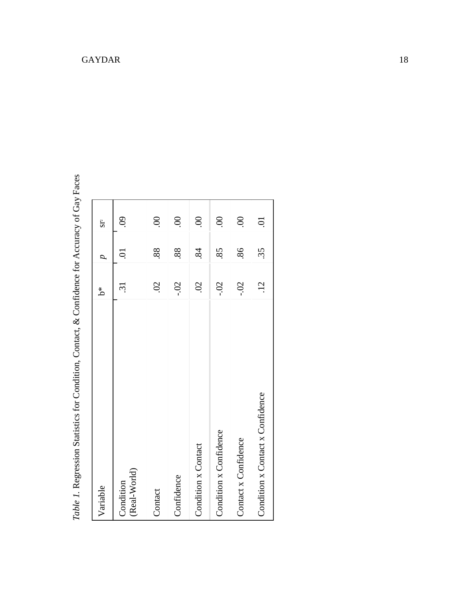| I<br>I                  |
|-------------------------|
|                         |
|                         |
|                         |
| i                       |
| i                       |
|                         |
|                         |
|                         |
|                         |
|                         |
|                         |
| I<br>I                  |
|                         |
| $\frac{1}{5}$<br>Ï<br>ľ |

| Variable                         | *م<br>م             |     | $S^2$             |
|----------------------------------|---------------------|-----|-------------------|
| (Real-World)<br>Condition        | <u>ین</u>           | Ş   | $\ddot{\text{6}}$ |
| Contact                          | $\ddot{\mathrm{S}}$ | 88. | $\odot$           |
| Confidence                       | $-0$ .              | 88. | $\mathcal{S}$     |
| Condition x Contact              | $\ddot{\mathrm{S}}$ | 84  | $\odot$           |
| Condition x Confidence           | $-0.2$              | 85  | $\odot$           |
| Contact x Confidence             | $-0.02$             | 86  | $\odot$           |
| Condition x Contact x Confidence | $\ddot{5}$          | 35  | $\ddot{\circ}$    |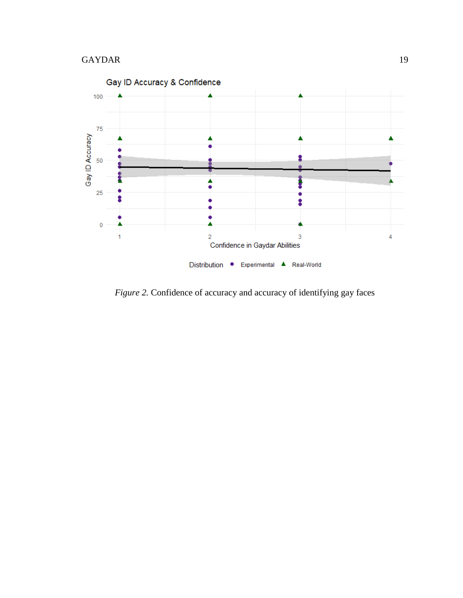

*Figure 2.* Confidence of accuracy and accuracy of identifying gay faces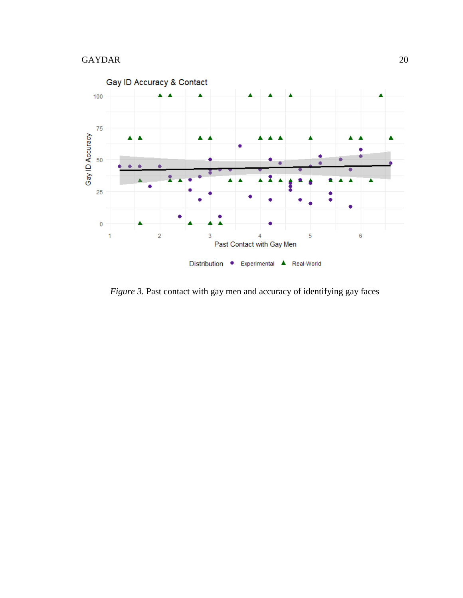

*Figure 3.* Past contact with gay men and accuracy of identifying gay faces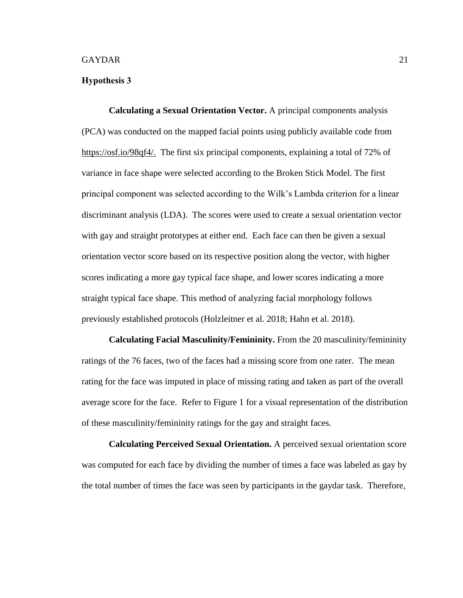### <span id="page-27-0"></span>**Hypothesis 3**

<span id="page-27-1"></span>**Calculating a Sexual Orientation Vector.** A principal components analysis (PCA) was conducted on the mapped facial points using publicly available code from [https://osf.io/98qf4/.](https://osf.io/98qf4/) The first six principal components, explaining a total of 72% of variance in face shape were selected according to the Broken Stick Model. The first principal component was selected according to the Wilk's Lambda criterion for a linear discriminant analysis (LDA). The scores were used to create a sexual orientation vector with gay and straight prototypes at either end. Each face can then be given a sexual orientation vector score based on its respective position along the vector, with higher scores indicating a more gay typical face shape, and lower scores indicating a more straight typical face shape. This method of analyzing facial morphology follows previously established protocols (Holzleitner et al. 2018; Hahn et al. 2018).

<span id="page-27-2"></span>**Calculating Facial Masculinity/Femininity.** From the 20 masculinity/femininity ratings of the 76 faces, two of the faces had a missing score from one rater. The mean rating for the face was imputed in place of missing rating and taken as part of the overall average score for the face. Refer to Figure 1 for a visual representation of the distribution of these masculinity/femininity ratings for the gay and straight faces.

<span id="page-27-3"></span>**Calculating Perceived Sexual Orientation.** A perceived sexual orientation score was computed for each face by dividing the number of times a face was labeled as gay by the total number of times the face was seen by participants in the gaydar task. Therefore,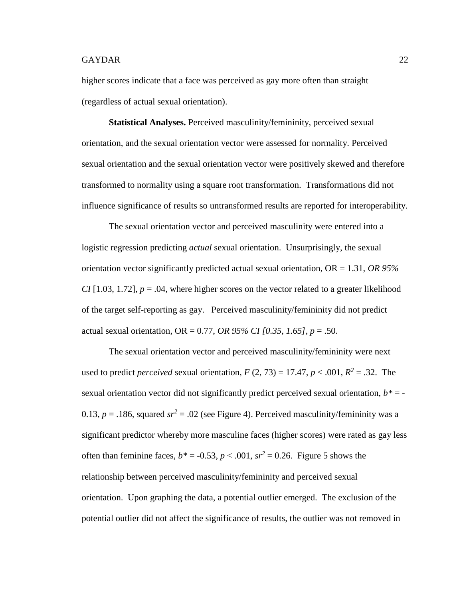higher scores indicate that a face was perceived as gay more often than straight (regardless of actual sexual orientation).

<span id="page-28-0"></span>**Statistical Analyses.** Perceived masculinity/femininity, perceived sexual orientation, and the sexual orientation vector were assessed for normality. Perceived sexual orientation and the sexual orientation vector were positively skewed and therefore transformed to normality using a square root transformation. Transformations did not influence significance of results so untransformed results are reported for interoperability.

The sexual orientation vector and perceived masculinity were entered into a logistic regression predicting *actual* sexual orientation. Unsurprisingly, the sexual orientation vector significantly predicted actual sexual orientation, OR = 1.31, *OR 95% CI* [1.03, 1.72],  $p = 0.04$ , where higher scores on the vector related to a greater likelihood of the target self-reporting as gay. Perceived masculinity/femininity did not predict actual sexual orientation, OR = 0.77, *OR 95% CI [0.35, 1.65]*, *p* = .50.

The sexual orientation vector and perceived masculinity/femininity were next used to predict *perceived* sexual orientation,  $F(2, 73) = 17.47$ ,  $p < .001$ ,  $R^2 = .32$ . The sexual orientation vector did not significantly predict perceived sexual orientation,  $b^*$  = -0.13,  $p = 0.186$ , squared  $sr^2 = 0.02$  (see Figure 4). Perceived masculinity/femininity was a significant predictor whereby more masculine faces (higher scores) were rated as gay less often than feminine faces,  $b^* = -0.53$ ,  $p < .001$ ,  $sr^2 = 0.26$ . Figure 5 shows the relationship between perceived masculinity/femininity and perceived sexual orientation. Upon graphing the data, a potential outlier emerged. The exclusion of the potential outlier did not affect the significance of results, the outlier was not removed in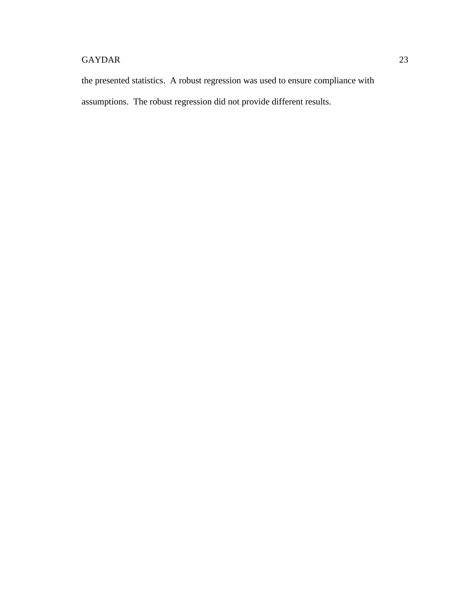the presented statistics. A robust regression was used to ensure compliance with assumptions. The robust regression did not provide different results.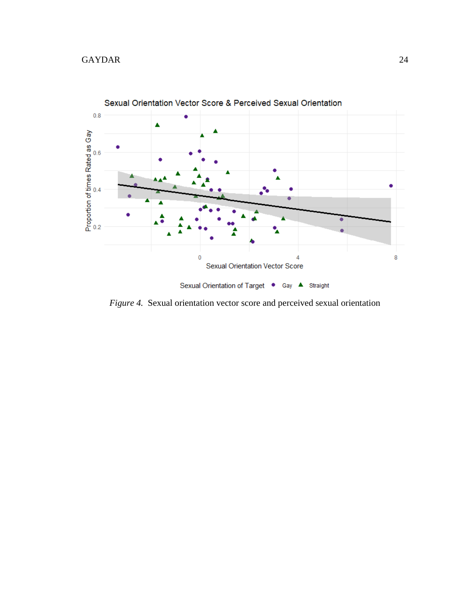

*Figure 4.* Sexual orientation vector score and perceived sexual orientation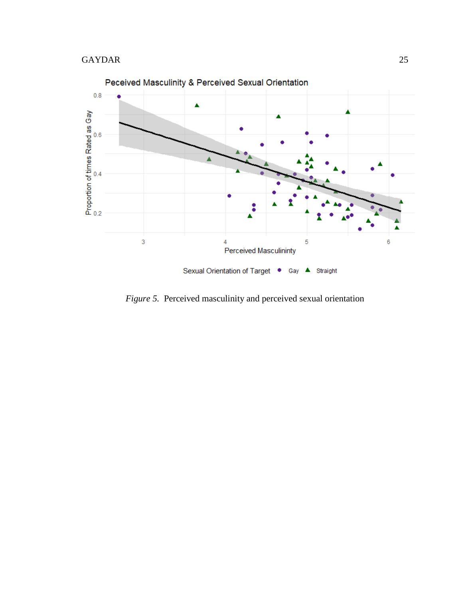

*Figure 5.* Perceived masculinity and perceived sexual orientation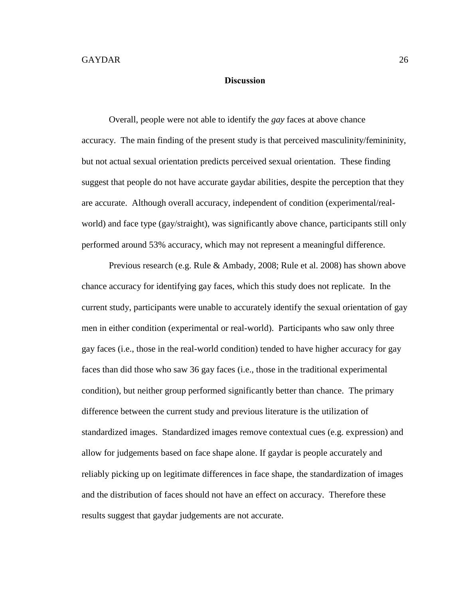## **Discussion**

<span id="page-32-0"></span>Overall, people were not able to identify the *gay* faces at above chance accuracy. The main finding of the present study is that perceived masculinity/femininity, but not actual sexual orientation predicts perceived sexual orientation. These finding suggest that people do not have accurate gaydar abilities, despite the perception that they are accurate. Although overall accuracy, independent of condition (experimental/realworld) and face type (gay/straight), was significantly above chance, participants still only performed around 53% accuracy, which may not represent a meaningful difference.

Previous research (e.g. Rule & Ambady, 2008; Rule et al. 2008) has shown above chance accuracy for identifying gay faces, which this study does not replicate. In the current study, participants were unable to accurately identify the sexual orientation of gay men in either condition (experimental or real-world). Participants who saw only three gay faces (i.e., those in the real-world condition) tended to have higher accuracy for gay faces than did those who saw 36 gay faces (i.e., those in the traditional experimental condition), but neither group performed significantly better than chance. The primary difference between the current study and previous literature is the utilization of standardized images. Standardized images remove contextual cues (e.g. expression) and allow for judgements based on face shape alone. If gaydar is people accurately and reliably picking up on legitimate differences in face shape, the standardization of images and the distribution of faces should not have an effect on accuracy. Therefore these results suggest that gaydar judgements are not accurate.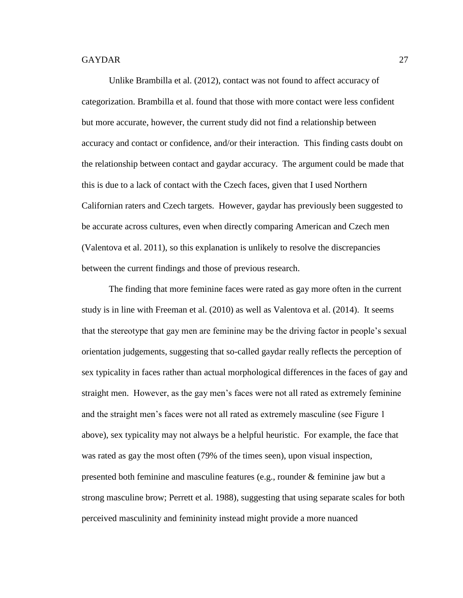Unlike Brambilla et al. (2012), contact was not found to affect accuracy of categorization. Brambilla et al. found that those with more contact were less confident but more accurate, however, the current study did not find a relationship between accuracy and contact or confidence, and/or their interaction. This finding casts doubt on the relationship between contact and gaydar accuracy. The argument could be made that this is due to a lack of contact with the Czech faces, given that I used Northern Californian raters and Czech targets. However, gaydar has previously been suggested to be accurate across cultures, even when directly comparing American and Czech men (Valentova et al. 2011), so this explanation is unlikely to resolve the discrepancies between the current findings and those of previous research.

The finding that more feminine faces were rated as gay more often in the current study is in line with Freeman et al. (2010) as well as Valentova et al. (2014). It seems that the stereotype that gay men are feminine may be the driving factor in people's sexual orientation judgements, suggesting that so-called gaydar really reflects the perception of sex typicality in faces rather than actual morphological differences in the faces of gay and straight men. However, as the gay men's faces were not all rated as extremely feminine and the straight men's faces were not all rated as extremely masculine (see Figure 1 above), sex typicality may not always be a helpful heuristic. For example, the face that was rated as gay the most often (79% of the times seen), upon visual inspection, presented both feminine and masculine features (e.g., rounder & feminine jaw but a strong masculine brow; Perrett et al. 1988), suggesting that using separate scales for both perceived masculinity and femininity instead might provide a more nuanced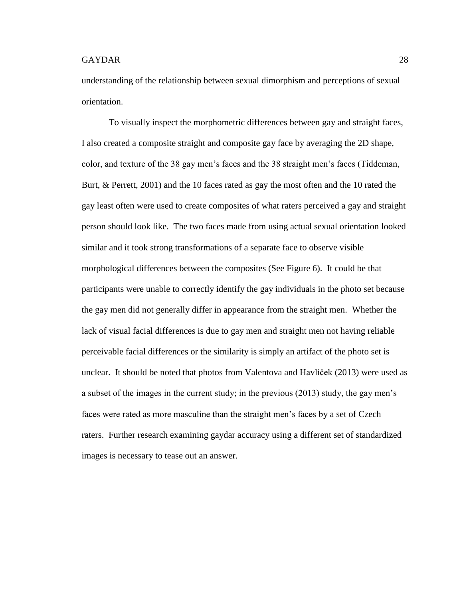understanding of the relationship between sexual dimorphism and perceptions of sexual orientation.

To visually inspect the morphometric differences between gay and straight faces, I also created a composite straight and composite gay face by averaging the 2D shape, color, and texture of the 38 gay men's faces and the 38 straight men's faces (Tiddeman, Burt, & Perrett, 2001) and the 10 faces rated as gay the most often and the 10 rated the gay least often were used to create composites of what raters perceived a gay and straight person should look like. The two faces made from using actual sexual orientation looked similar and it took strong transformations of a separate face to observe visible morphological differences between the composites (See Figure 6). It could be that participants were unable to correctly identify the gay individuals in the photo set because the gay men did not generally differ in appearance from the straight men. Whether the lack of visual facial differences is due to gay men and straight men not having reliable perceivable facial differences or the similarity is simply an artifact of the photo set is unclear. It should be noted that photos from Valentova and Havlíček (2013) were used as a subset of the images in the current study; in the previous (2013) study, the gay men's faces were rated as more masculine than the straight men's faces by a set of Czech raters. Further research examining gaydar accuracy using a different set of standardized images is necessary to tease out an answer.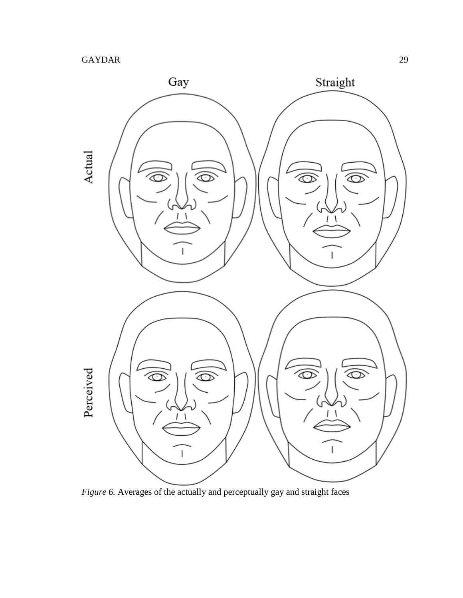

*Figure 6.* Averages of the actually and perceptually gay and straight faces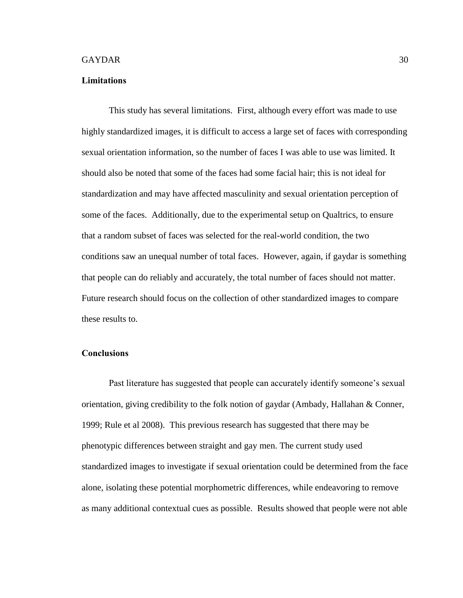#### <span id="page-36-0"></span>**Limitations**

This study has several limitations. First, although every effort was made to use highly standardized images, it is difficult to access a large set of faces with corresponding sexual orientation information, so the number of faces I was able to use was limited. It should also be noted that some of the faces had some facial hair; this is not ideal for standardization and may have affected masculinity and sexual orientation perception of some of the faces. Additionally, due to the experimental setup on Qualtrics, to ensure that a random subset of faces was selected for the real-world condition, the two conditions saw an unequal number of total faces. However, again, if gaydar is something that people can do reliably and accurately, the total number of faces should not matter. Future research should focus on the collection of other standardized images to compare these results to.

## <span id="page-36-1"></span>**Conclusions**

Past literature has suggested that people can accurately identify someone's sexual orientation, giving credibility to the folk notion of gaydar (Ambady, Hallahan & Conner, 1999; Rule et al 2008). This previous research has suggested that there may be phenotypic differences between straight and gay men. The current study used standardized images to investigate if sexual orientation could be determined from the face alone, isolating these potential morphometric differences, while endeavoring to remove as many additional contextual cues as possible. Results showed that people were not able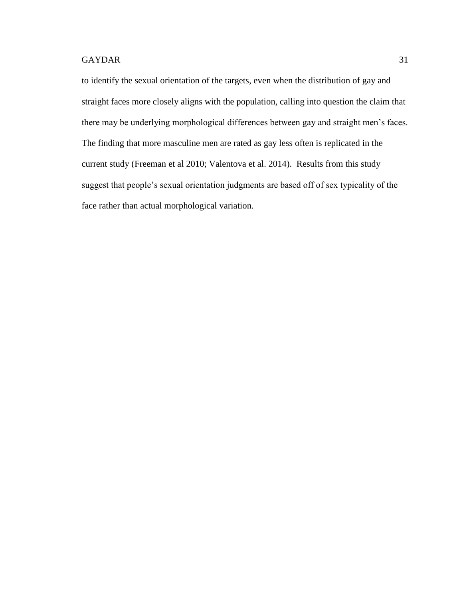to identify the sexual orientation of the targets, even when the distribution of gay and straight faces more closely aligns with the population, calling into question the claim that there may be underlying morphological differences between gay and straight men's faces. The finding that more masculine men are rated as gay less often is replicated in the current study (Freeman et al 2010; Valentova et al. 2014). Results from this study suggest that people's sexual orientation judgments are based off of sex typicality of the face rather than actual morphological variation.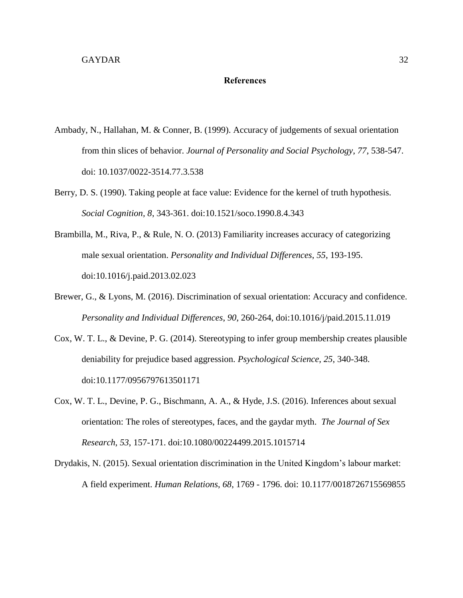## **References**

- <span id="page-38-0"></span>Ambady, N., Hallahan, M. & Conner, B. (1999). Accuracy of judgements of sexual orientation from thin slices of behavior. *Journal of Personality and Social Psychology*, *77*, 538-547. doi: 10.1037/0022-3514.77.3.538
- Berry, D. S. (1990). Taking people at face value: Evidence for the kernel of truth hypothesis. *Social Cognition, 8*, 343-361. doi:10.1521/soco.1990.8.4.343
- Brambilla, M., Riva, P., & Rule, N. O. (2013) Familiarity increases accuracy of categorizing male sexual orientation. *Personality and Individual Differences*, *55*, 193-195. doi:10.1016/j.paid.2013.02.023
- Brewer, G., & Lyons, M. (2016). Discrimination of sexual orientation: Accuracy and confidence. *Personality and Individual Differences*, *90*, 260-264, doi:10.1016/j/paid.2015.11.019
- Cox, W. T. L., & Devine, P. G. (2014). Stereotyping to infer group membership creates plausible deniability for prejudice based aggression. *Psychological Science*, *25*, 340-348. doi:10.1177/0956797613501171
- Cox, W. T. L., Devine, P. G., Bischmann, A. A., & Hyde, J.S. (2016). Inferences about sexual orientation: The roles of stereotypes, faces, and the gaydar myth. *The Journal of Sex Research*, *53*, 157-171. doi:10.1080/00224499.2015.1015714
- Drydakis, N. (2015). Sexual orientation discrimination in the United Kingdom's labour market: A field experiment. *Human Relations*, *68*, 1769 - 1796. doi: 10.1177/0018726715569855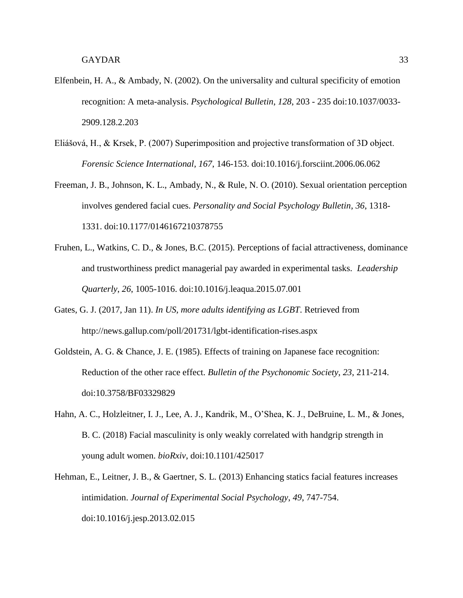- Elfenbein, H. A., & Ambady, N. (2002). On the universality and cultural specificity of emotion recognition: A meta-analysis. *Psychological Bulletin*, *128*, 203 - 235 doi:10.1037/0033- 2909.128.2.203
- Eliášová, H., & Krsek, P. (2007) Superimposition and projective transformation of 3D object. *Forensic Science International, 167*, 146-153. doi:10.1016/j.forsciint.2006.06.062
- Freeman, J. B., Johnson, K. L., Ambady, N., & Rule, N. O. (2010). Sexual orientation perception involves gendered facial cues. *Personality and Social Psychology Bulletin*, *36*, 1318- 1331. doi:10.1177/0146167210378755
- Fruhen, L., Watkins, C. D., & Jones, B.C. (2015). Perceptions of facial attractiveness, dominance and trustworthiness predict managerial pay awarded in experimental tasks. *Leadership Quarterly*, *26*, 1005-1016. doi:10.1016/j.leaqua.2015.07.001
- Gates, G. J. (2017, Jan 11). *In US, more adults identifying as LGBT*. Retrieved from http://news.gallup.com/poll/201731/lgbt-identification-rises.aspx
- Goldstein, A. G. & Chance, J. E. (1985). Effects of training on Japanese face recognition: Reduction of the other race effect. *Bulletin of the Psychonomic Society*, *23*, 211-214. doi:10.3758/BF03329829
- Hahn, A. C., Holzleitner, I. J., Lee, A. J., Kandrik, M., O'Shea, K. J., DeBruine, L. M., & Jones, B. C. (2018) Facial masculinity is only weakly correlated with handgrip strength in young adult women. *bioRxiv*, doi:10.1101/425017
- Hehman, E., Leitner, J. B., & Gaertner, S. L. (2013) Enhancing statics facial features increases intimidation. *Journal of Experimental Social Psychology*, *49*, 747-754. doi:10.1016/j.jesp.2013.02.015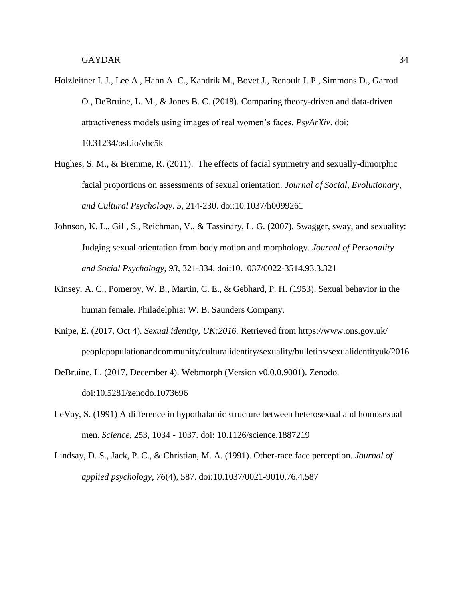- Holzleitner I. J., Lee A., Hahn A. C., Kandrik M., Bovet J., Renoult J. P., Simmons D., Garrod O., DeBruine, L. M., & Jones B. C. (2018). Comparing theory-driven and data-driven attractiveness models using images of real women's faces. *PsyArXiv*. doi: 10.31234/osf.io/vhc5k
- Hughes, S. M., & Bremme, R. (2011). The effects of facial symmetry and sexually-dimorphic facial proportions on assessments of sexual orientation. *Journal of Social, Evolutionary, and Cultural Psychology*. *5*, 214-230. doi:10.1037/h0099261
- Johnson, K. L., Gill, S., Reichman, V., & Tassinary, L. G. (2007). Swagger, sway, and sexuality: Judging sexual orientation from body motion and morphology. *Journal of Personality and Social Psychology*, *93*, 321-334. doi:10.1037/0022-3514.93.3.321
- Kinsey, A. C., Pomeroy, W. B., Martin, C. E., & Gebhard, P. H. (1953). Sexual behavior in the human female. Philadelphia: W. B. Saunders Company.
- Knipe, E. (2017, Oct 4). *Sexual identity, UK:2016.* Retrieved from https://www.ons.gov.uk/ peoplepopulationandcommunity/culturalidentity/sexuality/bulletins/sexualidentityuk/2016
- DeBruine, L. (2017, December 4). Webmorph (Version v0.0.0.9001). Zenodo. doi:10.5281/zenodo.1073696
- LeVay, S. (1991) A difference in hypothalamic structure between heterosexual and homosexual men. *Science*, 253, 1034 - 1037. doi: 10.1126/science.1887219
- Lindsay, D. S., Jack, P. C., & Christian, M. A. (1991). Other-race face perception. *Journal of applied psychology, 76*(4), 587. doi:10.1037/0021-9010.76.4.587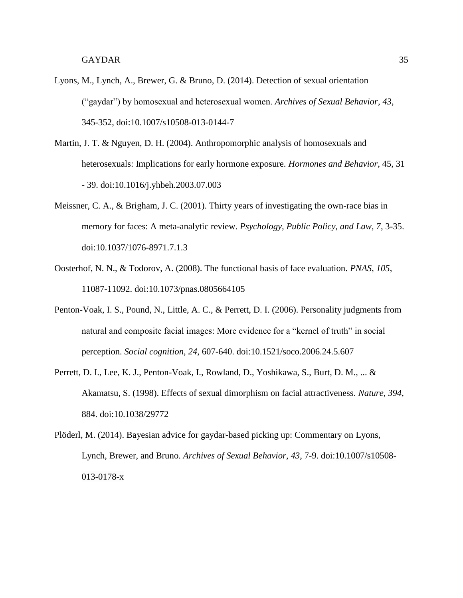- Lyons, M., Lynch, A., Brewer, G. & Bruno, D. (2014). Detection of sexual orientation ("gaydar") by homosexual and heterosexual women. *Archives of Sexual Behavior*, *43*, 345-352, doi:10.1007/s10508-013-0144-7
- Martin, J. T. & Nguyen, D. H. (2004). Anthropomorphic analysis of homosexuals and heterosexuals: Implications for early hormone exposure. *Hormones and Behavior*, 45, 31 - 39. doi:10.1016/j.yhbeh.2003.07.003
- Meissner, C. A., & Brigham, J. C. (2001). Thirty years of investigating the own-race bias in memory for faces: A meta-analytic review. *Psychology, Public Policy, and Law, 7*, 3-35. doi:10.1037/1076-8971.7.1.3
- Oosterhof, N. N., & Todorov, A. (2008). The functional basis of face evaluation. *PNAS*, *105*, 11087-11092. doi:10.1073/pnas.0805664105
- Penton-Voak, I. S., Pound, N., Little, A. C., & Perrett, D. I. (2006). Personality judgments from natural and composite facial images: More evidence for a "kernel of truth" in social perception. *Social cognition, 24*, 607-640. doi:10.1521/soco.2006.24.5.607
- Perrett, D. I., Lee, K. J., Penton-Voak, I., Rowland, D., Yoshikawa, S., Burt, D. M., ... & Akamatsu, S. (1998). Effects of sexual dimorphism on facial attractiveness. *Nature*, *394*, 884. doi:10.1038/29772
- Plöderl, M. (2014). Bayesian advice for gaydar-based picking up: Commentary on Lyons, Lynch, Brewer, and Bruno. *Archives of Sexual Behavior*, *43*, 7-9. doi:10.1007/s10508- 013-0178-x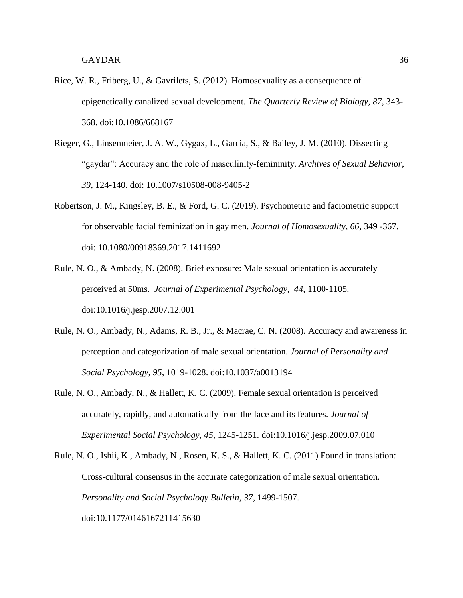- Rice, W. R., Friberg, U., & Gavrilets, S. (2012). Homosexuality as a consequence of epigenetically canalized sexual development. *The Quarterly Review of Biology*, *87*, 343- 368. doi:10.1086/668167
- Rieger, G., Linsenmeier, J. A. W., Gygax, L., Garcia, S., & Bailey, J. M. (2010). Dissecting "gaydar": Accuracy and the role of masculinity-femininity. *Archives of Sexual Behavior*, *39*, 124-140. doi: 10.1007/s10508-008-9405-2
- Robertson, J. M., Kingsley, B. E., & Ford, G. C. (2019). Psychometric and faciometric support for observable facial feminization in gay men. *Journal of Homosexuality, 66*, 349 -367. doi: 10.1080/00918369.2017.1411692
- Rule, N. O., & Ambady, N. (2008). Brief exposure: Male sexual orientation is accurately perceived at 50ms. *Journal of Experimental Psychology*, *44*, 1100-1105. doi:10.1016/j.jesp.2007.12.001
- Rule, N. O., Ambady, N., Adams, R. B., Jr., & Macrae, C. N. (2008). Accuracy and awareness in perception and categorization of male sexual orientation. *Journal of Personality and Social Psychology*, *95*, 1019-1028. doi:10.1037/a0013194
- Rule, N. O., Ambady, N., & Hallett, K. C. (2009). Female sexual orientation is perceived accurately, rapidly, and automatically from the face and its features. *Journal of Experimental Social Psychology*, *45*, 1245-1251. doi:10.1016/j.jesp.2009.07.010
- Rule, N. O., Ishii, K., Ambady, N., Rosen, K. S., & Hallett, K. C. (2011) Found in translation: Cross-cultural consensus in the accurate categorization of male sexual orientation. *Personality and Social Psychology Bulletin*, *37*, 1499-1507. doi:10.1177/0146167211415630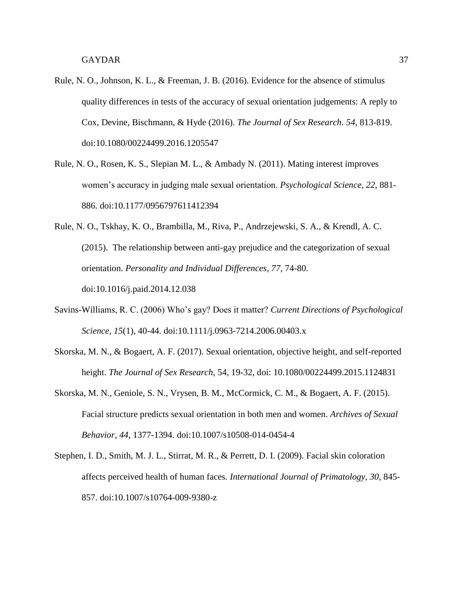- Rule, N. O., Johnson, K. L., & Freeman, J. B. (2016). Evidence for the absence of stimulus quality differences in tests of the accuracy of sexual orientation judgements: A reply to Cox, Devine, Bischmann, & Hyde (2016). *The Journal of Sex Research*. *54,* 813-819. doi:10.1080/00224499.2016.1205547
- Rule, N. O., Rosen, K. S., Slepian M. L., & Ambady N. (2011). Mating interest improves women's accuracy in judging male sexual orientation. *Psychological Science*, *22*, 881- 886. doi:10.1177/0956797611412394
- Rule, N. O., Tskhay, K. O., Brambilla, M., Riva, P., Andrzejewski, S. A., & Krendl, A. C. (2015). The relationship between anti-gay prejudice and the categorization of sexual orientation. *Personality and Individual Differences*, *77*, 74-80. doi:10.1016/j.paid.2014.12.038
- Savins-Williams, R. C. (2006) Who's gay? Does it matter? *Current Directions of Psychological Science*, *15*(1), 40-44. doi:10.1111/j.0963-7214.2006.00403.x
- Skorska, M. N., & Bogaert, A. F. (2017). Sexual orientation, objective height, and self-reported height. *The Journal of Sex Research*, 54, 19-32, doi: 10.1080/00224499.2015.1124831
- Skorska, M. N., Geniole, S. N., Vrysen, B. M., McCormick, C. M., & Bogaert, A. F. (2015). Facial structure predicts sexual orientation in both men and women. *Archives of Sexual Behavior*, *44*, 1377-1394. doi:10.1007/s10508-014-0454-4
- Stephen, I. D., Smith, M. J. L., Stirrat, M. R., & Perrett, D. I. (2009). Facial skin coloration affects perceived health of human faces. *International Journal of Primatology*, *30*, 845- 857. doi:10.1007/s10764-009-9380-z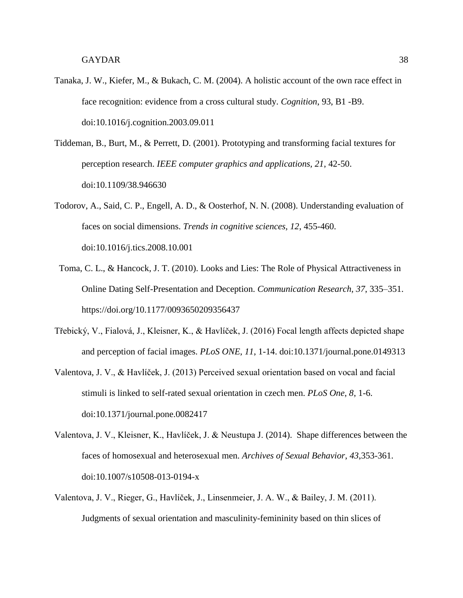- Tanaka, J. W., Kiefer, M., & Bukach, C. M. (2004). A holistic account of the own race effect in face recognition: evidence from a cross cultural study. *Cognition*, 93, B1 -B9. doi:10.1016/j.cognition.2003.09.011
- Tiddeman, B., Burt, M., & Perrett, D. (2001). Prototyping and transforming facial textures for perception research. *IEEE computer graphics and applications, 21*, 42-50. doi:10.1109/38.946630
- Todorov, A., Said, C. P., Engell, A. D., & Oosterhof, N. N. (2008). Understanding evaluation of faces on social dimensions. *Trends in cognitive sciences, 12*, 455-460. doi:10.1016/j.tics.2008.10.001
- Toma, C. L., & Hancock, J. T. (2010). Looks and Lies: The Role of Physical Attractiveness in Online Dating Self-Presentation and Deception. *Communication Research, 37*, 335–351. https://doi.org/10.1177/0093650209356437
- Třebický, V., Fialová, J., Kleisner, K., & Havlíček, J. (2016) Focal length affects depicted shape and perception of facial images. *PLoS ONE*, *11*, 1-14. doi:10.1371/journal.pone.0149313
- Valentova, J. V., & Havlíček, J. (2013) Perceived sexual orientation based on vocal and facial stimuli is linked to self-rated sexual orientation in czech men. *PLoS One*, *8*, 1-6. doi:10.1371/journal.pone.0082417
- Valentova, J. V., Kleisner, K., Havlíček, J. & Neustupa J. (2014). Shape differences between the faces of homosexual and heterosexual men. *Archives of Sexual Behavior*, *43*,353-361. doi:10.1007/s10508-013-0194-x
- Valentova, J. V., Rieger, G., Havlíček, J., Linsenmeier, J. A. W., & Bailey, J. M. (2011). Judgments of sexual orientation and masculinity-femininity based on thin slices of